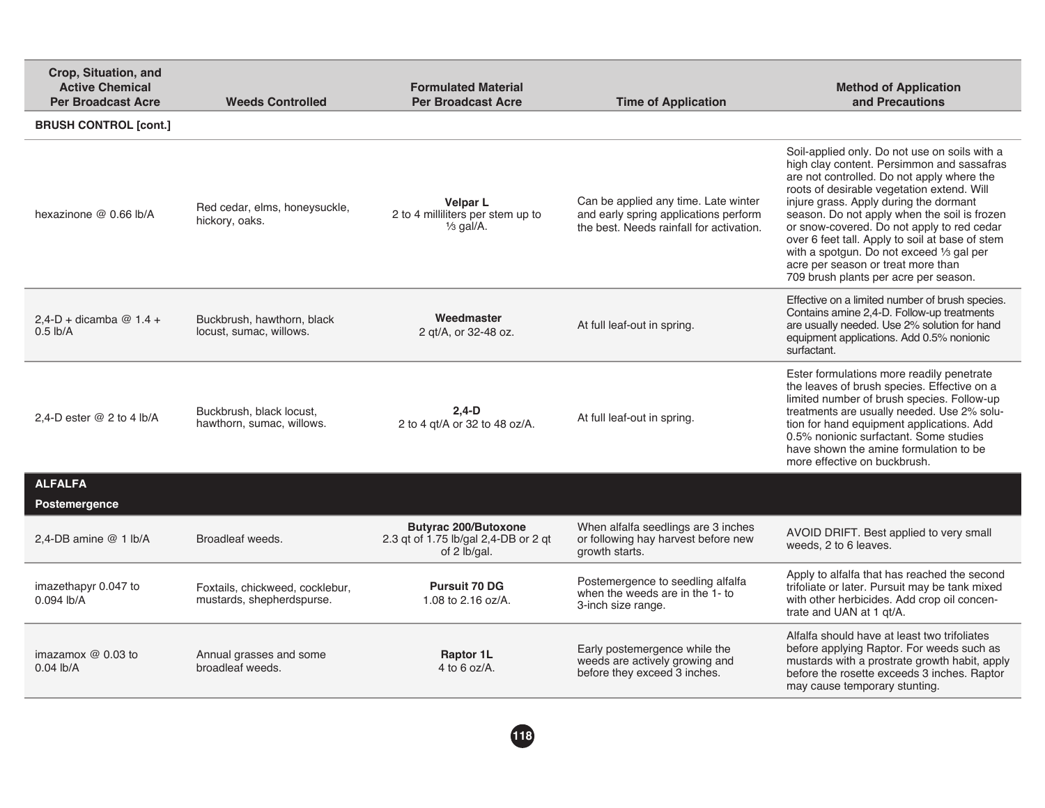| Crop, Situation, and<br><b>Active Chemical</b><br><b>Per Broadcast Acre</b> | <b>Weeds Controlled</b>                                      | <b>Formulated Material</b><br><b>Per Broadcast Acre</b>                             | <b>Time of Application</b>                                                                                                | <b>Method of Application</b><br>and Precautions                                                                                                                                                                                                                                                                                                                                                                                                                                                                |
|-----------------------------------------------------------------------------|--------------------------------------------------------------|-------------------------------------------------------------------------------------|---------------------------------------------------------------------------------------------------------------------------|----------------------------------------------------------------------------------------------------------------------------------------------------------------------------------------------------------------------------------------------------------------------------------------------------------------------------------------------------------------------------------------------------------------------------------------------------------------------------------------------------------------|
| <b>BRUSH CONTROL [cont.]</b>                                                |                                                              |                                                                                     |                                                                                                                           |                                                                                                                                                                                                                                                                                                                                                                                                                                                                                                                |
| hexazinone @ 0.66 lb/A                                                      | Red cedar, elms, honeysuckle,<br>hickory, oaks.              | <b>Velpar L</b><br>2 to 4 milliliters per stem up to<br>$\frac{1}{3}$ gal/A.        | Can be applied any time. Late winter<br>and early spring applications perform<br>the best. Needs rainfall for activation. | Soil-applied only. Do not use on soils with a<br>high clay content. Persimmon and sassafras<br>are not controlled. Do not apply where the<br>roots of desirable vegetation extend. Will<br>injure grass. Apply during the dormant<br>season. Do not apply when the soil is frozen<br>or snow-covered. Do not apply to red cedar<br>over 6 feet tall. Apply to soil at base of stem<br>with a spotgun. Do not exceed 1/3 gal per<br>acre per season or treat more than<br>709 brush plants per acre per season. |
| $2,4-D + dicamba @ 1.4 +$<br>$0.5$ lb/A                                     | Buckbrush, hawthorn, black<br>locust, sumac, willows.        | Weedmaster<br>2 gt/A, or 32-48 oz.                                                  | At full leaf-out in spring.                                                                                               | Effective on a limited number of brush species.<br>Contains amine 2,4-D. Follow-up treatments<br>are usually needed. Use 2% solution for hand<br>equipment applications. Add 0.5% nonionic<br>surfactant.                                                                                                                                                                                                                                                                                                      |
| 2,4-D ester $@$ 2 to 4 lb/A                                                 | Buckbrush, black locust.<br>hawthorn, sumac, willows.        | $2.4-D$<br>2 to 4 gt/A or 32 to 48 oz/A.                                            | At full leaf-out in spring.                                                                                               | Ester formulations more readily penetrate<br>the leaves of brush species. Effective on a<br>limited number of brush species. Follow-up<br>treatments are usually needed. Use 2% solu-<br>tion for hand equipment applications. Add<br>0.5% nonionic surfactant. Some studies<br>have shown the amine formulation to be<br>more effective on buckbrush.                                                                                                                                                         |
| <b>ALFALFA</b><br>Postemergence                                             |                                                              |                                                                                     |                                                                                                                           |                                                                                                                                                                                                                                                                                                                                                                                                                                                                                                                |
| 2,4-DB amine @ 1 lb/A                                                       | Broadleaf weeds.                                             | <b>Butyrac 200/Butoxone</b><br>2.3 qt of 1.75 lb/gal 2,4-DB or 2 qt<br>of 2 lb/gal. | When alfalfa seedlings are 3 inches<br>or following hay harvest before new<br>growth starts.                              | AVOID DRIFT. Best applied to very small<br>weeds, 2 to 6 leaves.                                                                                                                                                                                                                                                                                                                                                                                                                                               |
| imazethapyr 0.047 to<br>$0.094$ lb/A                                        | Foxtails, chickweed, cocklebur,<br>mustards, shepherdspurse. | <b>Pursuit 70 DG</b><br>1.08 to $2.16$ oz/A.                                        | Postemergence to seedling alfalfa<br>when the weeds are in the 1- to<br>3-inch size range.                                | Apply to alfalfa that has reached the second<br>trifoliate or later. Pursuit may be tank mixed<br>with other herbicides. Add crop oil concen-<br>trate and UAN at 1 gt/A.                                                                                                                                                                                                                                                                                                                                      |
| imazamox $@$ 0.03 to<br>$0.04$ lb/A                                         | Annual grasses and some<br>broadleaf weeds.                  | <b>Raptor 1L</b><br>4 to 6 oz/A.                                                    | Early postemergence while the<br>weeds are actively growing and<br>before they exceed 3 inches.                           | Alfalfa should have at least two trifoliates<br>before applying Raptor. For weeds such as<br>mustards with a prostrate growth habit, apply<br>before the rosette exceeds 3 inches. Raptor<br>may cause temporary stunting.                                                                                                                                                                                                                                                                                     |